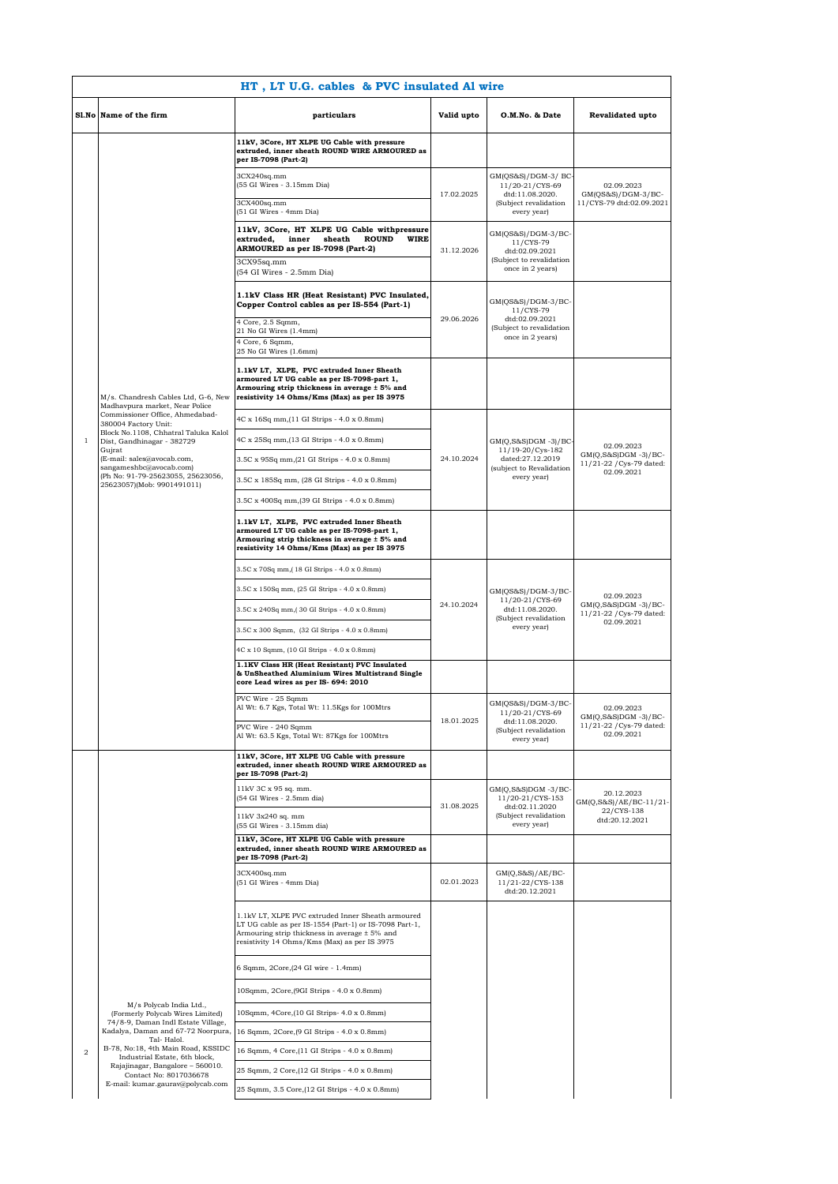|                | HT, LT U.G. cables & PVC insulated Al wire                                             |                                                                                                                                                                                                                  |            |                                                                                                   |                                                                              |
|----------------|----------------------------------------------------------------------------------------|------------------------------------------------------------------------------------------------------------------------------------------------------------------------------------------------------------------|------------|---------------------------------------------------------------------------------------------------|------------------------------------------------------------------------------|
|                | Sl.No Name of the firm                                                                 | particulars                                                                                                                                                                                                      | Valid upto | O.M.No. & Date                                                                                    | Revalidated upto                                                             |
|                |                                                                                        | 11kV, 3Core, HT XLPE UG Cable with pressure<br>extruded, inner sheath ROUND WIRE ARMOURED as<br>per IS-7098 (Part-2)                                                                                             |            |                                                                                                   |                                                                              |
|                |                                                                                        | 3CX240sq.mm<br>(55 GI Wires - 3.15mm Dia)                                                                                                                                                                        | 17.02.2025 | GM(QS&S)/DGM-3/ BC-<br>11/20-21/CYS-69<br>dtd:11.08.2020.                                         | 02.09.2023<br>GM(QS&S)/DGM-3/BC-                                             |
|                |                                                                                        | 3CX400sq.mm<br>(51 GI Wires - 4mm Dia)                                                                                                                                                                           |            | (Subject revalidation<br>every year)                                                              | 11/CYS-79 dtd:02.09.2021                                                     |
|                |                                                                                        | 11kV, 3Core, HT XLPE UG Cable withpressure<br>extruded,<br>sheath<br><b>ROUND</b><br>WIRE<br>inner<br>ARMOURED as per IS-7098 (Part-2)                                                                           | 31.12.2026 | $GM(QS&S)/DGM-3/BC-$<br>11/CYS-79<br>dtd:02.09.2021                                               |                                                                              |
|                |                                                                                        | 3CX95sq.mm<br>(54 GI Wires - 2.5mm Dia)                                                                                                                                                                          |            | (Subject to revalidation<br>once in 2 years)                                                      |                                                                              |
|                |                                                                                        | 1.1kV Class HR (Heat Resistant) PVC Insulated,<br>Copper Control cables as per IS-554 (Part-1)                                                                                                                   |            | GM(QS&S)/DGM-3/BC-<br>11/CYS-79                                                                   |                                                                              |
|                |                                                                                        | 4 Core, 2.5 Sqmm,<br>21 No GI Wires (1.4mm)                                                                                                                                                                      | 29.06.2026 | dtd:02.09.2021<br>(Subject to revalidation                                                        |                                                                              |
|                |                                                                                        | 4 Core, 6 Sqmm,<br>25 No GI Wires (1.6mm)                                                                                                                                                                        |            | once in 2 years)                                                                                  |                                                                              |
|                | M/s. Chandresh Cables Ltd, G-6, New<br>Madhavpura market, Near Police                  | 1.1kV LT, XLPE, PVC extruded Inner Sheath<br>armoured LT UG cable as per IS-7098-part 1,<br>Armouring strip thickness in average ± 5% and<br>resistivity 14 Ohms/Kms (Max) as per IS 3975                        |            |                                                                                                   |                                                                              |
|                | Commissioner Office, Ahmedabad-<br>380004 Factory Unit:                                | 4C x 16Sq mm, (11 GI Strips - 4.0 x 0.8mm)                                                                                                                                                                       |            |                                                                                                   |                                                                              |
| 1              | Block No.1108, Chhatral Taluka Kalol<br>Dist, Gandhinagar - 382729<br>Gujrat           | 4C x 25Sq mm, (13 GI Strips - 4.0 x 0.8mm)                                                                                                                                                                       |            | GM(Q,S&S)DGM -3)/BC-<br>11/19-20/Cys-182                                                          | 02.09.2023                                                                   |
|                | (E-mail: sales@avocab.com,<br>sangameshbc@avocab.com)                                  | 3.5C x 95Sq mm, (21 GI Strips - 4.0 x 0.8mm)                                                                                                                                                                     | 24.10.2024 | dated:27.12.2019<br>(subject to Revalidation                                                      | GM(Q,S&S)DGM -3)/BC-<br>11/21-22 / Cys-79 dated:<br>02.09.2021               |
|                | (Ph No: 91-79-25623055, 25623056,<br>25623057)(Mob: 9901491011)                        | 3.5C x 185Sq mm, (28 GI Strips - 4.0 x 0.8mm)                                                                                                                                                                    |            | every year)                                                                                       |                                                                              |
|                |                                                                                        | 3.5C x 400Sq mm, (39 GI Strips - 4.0 x 0.8mm)                                                                                                                                                                    |            |                                                                                                   |                                                                              |
|                |                                                                                        | 1.1kV LT, XLPE, PVC extruded Inner Sheath<br>armoured LT UG cable as per IS-7098-part 1,<br>Armouring strip thickness in average ± 5% and<br>resistivity 14 Ohms/Kms (Max) as per IS 3975                        |            |                                                                                                   |                                                                              |
|                |                                                                                        | 3.5C x 70Sq mm,(18 GI Strips - 4.0 x 0.8mm)                                                                                                                                                                      | 24.10.2024 | GM(QS&S)/DGM-3/BC-<br>11/20-21/CYS-69<br>dtd:11.08.2020.<br>(Subject revalidation<br>every year)  | 02.09.2023<br>GM(Q,S&S)DGM -3)/BC-<br>11/21-22 / Cys-79 dated:<br>02.09.2021 |
|                |                                                                                        | 3.5C x 150Sq mm, (25 GI Strips - 4.0 x 0.8mm)                                                                                                                                                                    |            |                                                                                                   |                                                                              |
|                |                                                                                        | 3.5C x 240Sq mm, (30 GI Strips - 4.0 x 0.8mm)                                                                                                                                                                    |            |                                                                                                   |                                                                              |
|                |                                                                                        | 3.5C x 300 Sqmm, (32 GI Strips - 4.0 x 0.8mm)                                                                                                                                                                    |            |                                                                                                   |                                                                              |
|                |                                                                                        | 4C x 10 Sqmm, (10 GI Strips - 4.0 x 0.8mm)                                                                                                                                                                       |            |                                                                                                   |                                                                              |
|                |                                                                                        | 1.1KV Class HR (Heat Resistant) PVC Insulated<br>& UnSheathed Aluminium Wires Multistrand Single<br>core Lead wires as per IS- 694: 2010                                                                         |            |                                                                                                   |                                                                              |
|                |                                                                                        | PVC Wire - 25 Sqmm<br>Al Wt: 6.7 Kgs, Total Wt: 11.5Kgs for 100Mtrs<br>PVC Wire - 240 Sqmm                                                                                                                       | 18.01.2025 | GM(QS&S)/DGM-3/BC-<br>11/20-21/CYS-69<br>dtd:11.08.2020.                                          | 02.09.2023<br>GM(Q,S&S)DGM -3)/BC-<br>11/21-22 / Cys-79 dated:               |
|                |                                                                                        | Al Wt: 63.5 Kgs, Total Wt: 87Kgs for 100Mtrs                                                                                                                                                                     |            | (Subject revalidation<br>every year)                                                              | 02.09.2021                                                                   |
|                |                                                                                        | 11kV, 3Core, HT XLPE UG Cable with pressure<br>extruded, inner sheath ROUND WIRE ARMOURED as<br>per IS-7098 (Part-2)                                                                                             |            |                                                                                                   |                                                                              |
|                |                                                                                        | 11kV 3C x 95 sq. mm.<br>(54 GI Wires - 2.5mm dia)                                                                                                                                                                | 31.08.2025 | GM(Q,S&S)DGM -3/BC-<br>11/20-21/CYS-153<br>dtd:02.11.2020<br>(Subject revalidation<br>every year) | 20.12.2023<br>GM(Q,S&S)/AE/BC-11/21-<br>22/CYS-138<br>dtd:20.12.2021         |
|                |                                                                                        | 11kV 3x240 sq. mm<br>(55 GI Wires - 3.15mm dia)                                                                                                                                                                  |            |                                                                                                   |                                                                              |
|                |                                                                                        | 11kV, 3Core, HT XLPE UG Cable with pressure<br>extruded, inner sheath ROUND WIRE ARMOURED as<br>per IS-7098 (Part-2)                                                                                             |            |                                                                                                   |                                                                              |
|                |                                                                                        | 3CX400sq.mm<br>(51 GI Wires - 4mm Dia)                                                                                                                                                                           | 02.01.2023 | $GM(Q, S\&S)/AE/BC-$<br>11/21-22/CYS-138<br>dtd:20.12.2021                                        |                                                                              |
|                |                                                                                        | 1.1kV LT, XLPE PVC extruded Inner Sheath armoured<br>LT UG cable as per IS-1554 (Part-1) or IS-7098 Part-1,<br>Armouring strip thickness in average $\pm$ 5% and<br>resistivity 14 Ohms/Kms (Max) as per IS 3975 |            |                                                                                                   |                                                                              |
|                |                                                                                        | 6 Sqmm, 2Core, (24 GI wire - 1.4mm)                                                                                                                                                                              |            |                                                                                                   |                                                                              |
|                |                                                                                        | 10Sqmm, 2Core, (9GI Strips - 4.0 x 0.8mm)                                                                                                                                                                        |            |                                                                                                   |                                                                              |
|                | M/s Polycab India Ltd.,<br>(Formerly Polycab Wires Limited)                            | 10Sqmm, 4Core, (10 GI Strips- 4.0 x 0.8mm)                                                                                                                                                                       |            |                                                                                                   |                                                                              |
|                | 74/8-9, Daman Indl Estate Village,<br>Kadalya, Daman and 67-72 Noorpura,<br>Tal-Halol. | 16 Sqmm, 2Core, (9 GI Strips - 4.0 x 0.8mm)                                                                                                                                                                      |            |                                                                                                   |                                                                              |
| $\overline{2}$ | B-78, No:18, 4th Main Road, KSSIDC<br>Industrial Estate, 6th block,                    | 16 Sqmm, 4 Core, (11 GI Strips - 4.0 x 0.8mm)                                                                                                                                                                    |            |                                                                                                   |                                                                              |
|                | Rajajinagar, Bangalore - 560010.<br>Contact No: 8017036678                             | 25 Sqmm, 2 Core, (12 GI Strips - 4.0 x 0.8mm)                                                                                                                                                                    |            |                                                                                                   |                                                                              |
|                | E-mail: kumar.gaurav@polycab.com                                                       | 25 Sqmm, 3.5 Core, (12 GI Strips - 4.0 x 0.8mm)                                                                                                                                                                  |            |                                                                                                   |                                                                              |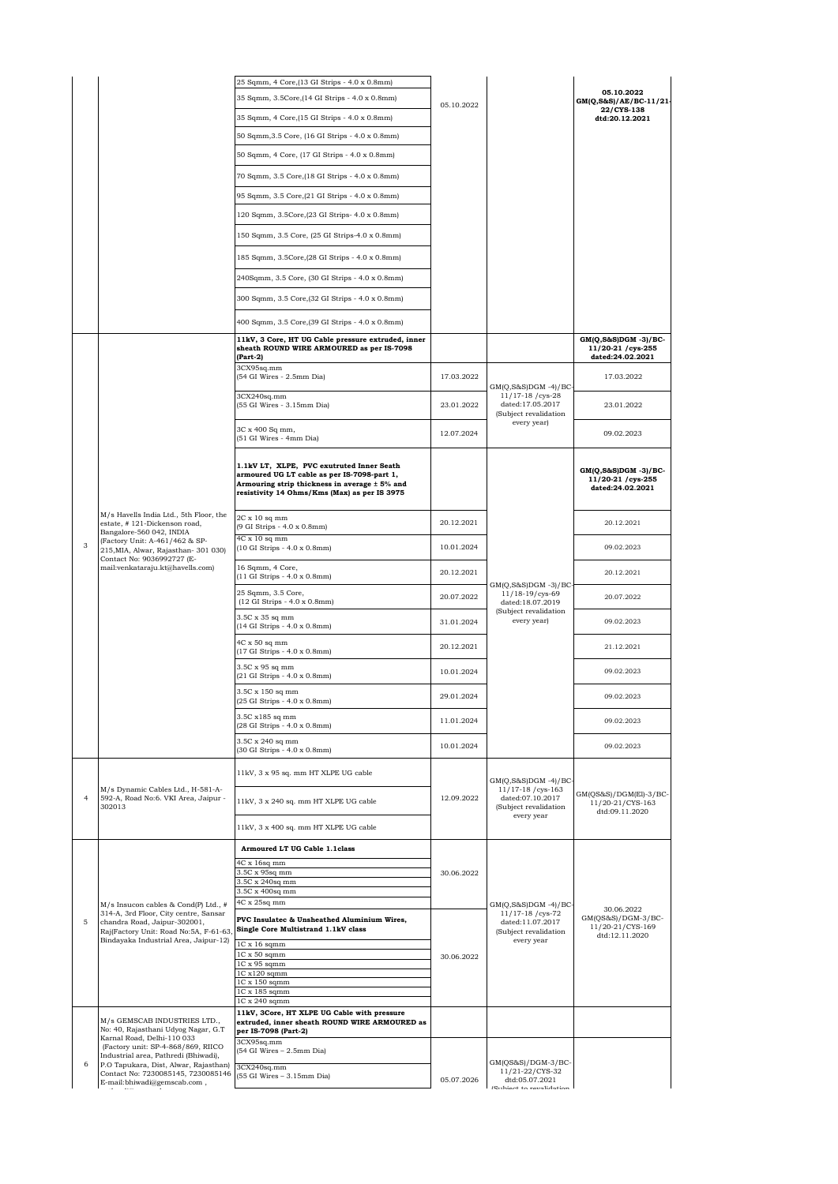|                |                                                                                                                                                                                                                                                | 25 Sqmm, 4 Core,(13 GI Strips - 4.0 x 0.8mm)                                                                                                                                              |            |                                                                                                      |                                                                     |
|----------------|------------------------------------------------------------------------------------------------------------------------------------------------------------------------------------------------------------------------------------------------|-------------------------------------------------------------------------------------------------------------------------------------------------------------------------------------------|------------|------------------------------------------------------------------------------------------------------|---------------------------------------------------------------------|
|                |                                                                                                                                                                                                                                                | 35 Sqmm, 3.5Core, (14 GI Strips - 4.0 x 0.8mm)                                                                                                                                            |            |                                                                                                      | 05.10.2022<br>GM(Q,S&S)/AE/BC-11/21-                                |
|                |                                                                                                                                                                                                                                                | 35 Sqmm, 4 Core, (15 GI Strips - 4.0 x 0.8mm)                                                                                                                                             | 05.10.2022 |                                                                                                      | 22/CYS-138<br>dtd:20.12.2021                                        |
|                |                                                                                                                                                                                                                                                | 50 Sqmm, 3.5 Core, (16 GI Strips - 4.0 x 0.8mm)                                                                                                                                           |            |                                                                                                      |                                                                     |
|                |                                                                                                                                                                                                                                                | 50 Sqmm, 4 Core, (17 GI Strips - 4.0 x 0.8mm)                                                                                                                                             |            |                                                                                                      |                                                                     |
|                |                                                                                                                                                                                                                                                | 70 Sqmm, 3.5 Core, (18 GI Strips - 4.0 x 0.8mm)                                                                                                                                           |            |                                                                                                      |                                                                     |
|                |                                                                                                                                                                                                                                                | 95 Sqmm, 3.5 Core, (21 GI Strips - 4.0 x 0.8mm)                                                                                                                                           |            |                                                                                                      |                                                                     |
|                |                                                                                                                                                                                                                                                | 120 Sqmm, 3.5Core, (23 GI Strips- 4.0 x 0.8mm)                                                                                                                                            |            |                                                                                                      |                                                                     |
|                |                                                                                                                                                                                                                                                |                                                                                                                                                                                           |            |                                                                                                      |                                                                     |
|                |                                                                                                                                                                                                                                                | 150 Sqmm, 3.5 Core, (25 GI Strips-4.0 x 0.8mm)                                                                                                                                            |            |                                                                                                      |                                                                     |
|                |                                                                                                                                                                                                                                                | 185 Sqmm, 3.5Core, (28 GI Strips - 4.0 x 0.8mm)                                                                                                                                           |            |                                                                                                      |                                                                     |
|                |                                                                                                                                                                                                                                                | 240Sqmm, 3.5 Core, (30 GI Strips - 4.0 x 0.8mm)                                                                                                                                           |            |                                                                                                      |                                                                     |
|                |                                                                                                                                                                                                                                                | 300 Sqmm, 3.5 Core, (32 GI Strips - 4.0 x 0.8mm)                                                                                                                                          |            |                                                                                                      |                                                                     |
|                |                                                                                                                                                                                                                                                | 400 Sqmm, 3.5 Core, (39 GI Strips - 4.0 x 0.8mm)                                                                                                                                          |            |                                                                                                      |                                                                     |
|                |                                                                                                                                                                                                                                                | 11kV, 3 Core, HT UG Cable pressure extruded, inner<br>sheath ROUND WIRE ARMOURED as per IS-7098<br>(Part-2)                                                                               |            |                                                                                                      | $GM(Q, S\&S)DGM -3)/BC$ -<br>11/20-21 / cys-255<br>dated:24.02.2021 |
|                |                                                                                                                                                                                                                                                | 3CX95sq.mm<br>(54 GI Wires - 2.5mm Dia)                                                                                                                                                   | 17.03.2022 |                                                                                                      | 17.03.2022                                                          |
|                |                                                                                                                                                                                                                                                | 3CX240sq.mm                                                                                                                                                                               |            | $GM(Q, S&S)DGM -4)/BC$<br>11/17-18 / cys-28                                                          |                                                                     |
|                |                                                                                                                                                                                                                                                | (55 GI Wires - 3.15mm Dia)                                                                                                                                                                | 23.01.2022 | dated:17.05.2017<br>(Subject revalidation<br>every year)                                             | 23.01.2022                                                          |
|                |                                                                                                                                                                                                                                                | 3C x 400 Sq mm,<br>(51 GI Wires - 4mm Dia)                                                                                                                                                | 12.07.2024 |                                                                                                      | 09.02.2023                                                          |
|                | M/s Havells India Ltd., 5th Floor, the<br>estate, #121-Dickenson road,<br>Bangalore-560 042, INDIA<br>(Factory Unit: A-461/462 & SP-<br>215, MIA, Alwar, Rajasthan- 301 030)<br>Contact No: 9036992727 (E-<br>mail:venkataraju.kt@havells.com) | 1.1kV LT, XLPE, PVC exutruted Inner Seath<br>armoured UG LT cable as per IS-7098-part 1,<br>Armouring strip thickness in average ± 5% and<br>resistivity 14 Ohms/Kms (Max) as per IS 3975 |            |                                                                                                      | $GM(Q, S\&S)DGM -3)/BC$ -<br>11/20-21 / cys-255<br>dated:24.02.2021 |
|                |                                                                                                                                                                                                                                                | 2C x 10 sq mm<br>(9 GI Strips - 4.0 x 0.8mm)                                                                                                                                              | 20.12.2021 | $GM(Q,S&S)DGM -3)/BC$<br>11/18-19/cys-69<br>dated:18.07.2019<br>(Subject revalidation<br>every year) | 20.12.2021                                                          |
| 3              |                                                                                                                                                                                                                                                | $4C \times 10$ sq mm<br>(10 GI Strips - 4.0 x 0.8mm)                                                                                                                                      | 10.01.2024 |                                                                                                      | 09.02.2023                                                          |
|                |                                                                                                                                                                                                                                                | 16 Sqmm, 4 Core,<br>(11 GI Strips - 4.0 x 0.8mm)                                                                                                                                          | 20.12.2021 |                                                                                                      | 20.12.2021                                                          |
|                |                                                                                                                                                                                                                                                | 25 Sqmm, 3.5 Core,<br>(12 GI Strips - 4.0 x 0.8mm)                                                                                                                                        | 20.07.2022 |                                                                                                      | 20.07.2022                                                          |
|                |                                                                                                                                                                                                                                                | 3.5C x 35 sq mm<br>(14 GI Strips - 4.0 x 0.8mm)                                                                                                                                           | 31.01.2024 |                                                                                                      | 09.02.2023                                                          |
|                |                                                                                                                                                                                                                                                | 4C x 50 sq mm<br>(17 GI Strips - 4.0 x 0.8mm)                                                                                                                                             | 20.12.2021 |                                                                                                      | 21.12.2021                                                          |
|                |                                                                                                                                                                                                                                                | 3.5C x 95 sq mm<br>(21 GI Strips - 4.0 x 0.8mm)                                                                                                                                           | 10.01.2024 |                                                                                                      | 09.02.2023                                                          |
|                |                                                                                                                                                                                                                                                | 3.5C x 150 sq mm<br>(25 GI Strips - 4.0 x 0.8mm)                                                                                                                                          | 29.01.2024 |                                                                                                      | 09.02.2023                                                          |
|                |                                                                                                                                                                                                                                                | 3.5C x185 sq mm                                                                                                                                                                           | 11.01.2024 |                                                                                                      | 09.02.2023                                                          |
|                |                                                                                                                                                                                                                                                | (28 GI Strips - 4.0 x 0.8mm)<br>3.5C x 240 sq mm                                                                                                                                          |            |                                                                                                      |                                                                     |
|                |                                                                                                                                                                                                                                                | (30 GI Strips - 4.0 x 0.8mm)                                                                                                                                                              | 10.01.2024 |                                                                                                      | 09.02.2023                                                          |
|                |                                                                                                                                                                                                                                                | 11kV, 3 x 95 sq. mm HT XLPE UG cable                                                                                                                                                      |            | $GM(Q,S&S)DGM -4)/BC$                                                                                |                                                                     |
| $\overline{4}$ | M/s Dynamic Cables Ltd., H-581-A-<br>592-A, Road No:6. VKI Area, Jaipur -<br>302013                                                                                                                                                            | 11kV, 3 x 240 sq. mm HT XLPE UG cable                                                                                                                                                     | 12.09.2022 | $11/17-18$ /cys-163<br>dated:07.10.2017<br>(Subject revalidation                                     | GM(QS&S)/DGM(El)-3/BC-<br>11/20-21/CYS-163<br>dtd:09.11.2020        |
|                |                                                                                                                                                                                                                                                | $11\mathrm{kV},\,3$ x $400$ sq. mm HT XLPE UG cable                                                                                                                                       |            | every year                                                                                           |                                                                     |
|                |                                                                                                                                                                                                                                                | Armoured LT UG Cable 1.1class                                                                                                                                                             |            |                                                                                                      |                                                                     |
|                |                                                                                                                                                                                                                                                | 4C x 16sq mm<br>3.5C x 95sq mm                                                                                                                                                            |            |                                                                                                      |                                                                     |
|                |                                                                                                                                                                                                                                                | 3.5C x 240sq mm                                                                                                                                                                           | 30.06.2022 |                                                                                                      |                                                                     |
|                |                                                                                                                                                                                                                                                | 3.5C x 400sq mm<br>$4C \times 25$ sq mm                                                                                                                                                   |            |                                                                                                      |                                                                     |
| 5              | M/s Insucon cables & Cond(P) Ltd., #<br>314-A, 3rd Floor, City centre, Sansar<br>chandra Road, Jaipur-302001,                                                                                                                                  | PVC Insulatec & Unsheathed Aluminium Wires,                                                                                                                                               |            | $GM(Q,S&S)DGM -4)/BC$<br>11/17-18 / cys-72<br>dated:11.07.2017                                       | 30.06.2022<br>GM(QS&S)/DGM-3/BC-                                    |
|                | Raj(Factory Unit: Road No:5A, F-61-63,                                                                                                                                                                                                         | Single Core Multistrand 1.1kV class                                                                                                                                                       |            | (Subject revalidation                                                                                | 11/20-21/CYS-169<br>dtd:12.11.2020                                  |
|                | Bindayaka Industrial Area, Jaipur-12)                                                                                                                                                                                                          | $1C \times 16$ sqmm<br>$1C \times 50$ sqmm                                                                                                                                                |            | every year                                                                                           |                                                                     |
|                |                                                                                                                                                                                                                                                | 1C x 95 sqmm                                                                                                                                                                              | 30.06.2022 |                                                                                                      |                                                                     |
|                |                                                                                                                                                                                                                                                | $1C x120$ sqmm<br>1C x 150 sqmm                                                                                                                                                           |            |                                                                                                      |                                                                     |
|                |                                                                                                                                                                                                                                                | 1C x 185 sqmm<br>1C x 240 sqmm                                                                                                                                                            |            |                                                                                                      |                                                                     |
|                |                                                                                                                                                                                                                                                | 11kV, 3Core, HT XLPE UG Cable with pressure                                                                                                                                               |            |                                                                                                      |                                                                     |
|                | M/s GEMSCAB INDUSTRIES LTD.,<br>No: 40, Rajasthani Udyog Nagar, G.T                                                                                                                                                                            | extruded, inner sheath ROUND WIRE ARMOURED as<br>per IS-7098 (Part-2)                                                                                                                     |            |                                                                                                      |                                                                     |
|                | Karnal Road, Delhi-110 033<br>(Factory unit: SP-4-868/869, RIICO<br>Industrial area, Pathredi (Bhiwadi),                                                                                                                                       | 3CX95sq.mm<br>(54 GI Wires - 2.5mm Dia)                                                                                                                                                   |            |                                                                                                      |                                                                     |
| 6              | P.O Tapukara, Dist, Alwar, Rajasthan)<br>Contact No: 7230085145, 7230085146                                                                                                                                                                    | 3CX240sq.mm<br>(55 GI Wires - 3.15mm Dia)                                                                                                                                                 | 05.07.2026 | GM(QS&S)/DGM-3/BC-<br>11/21-22/CYS-32<br>dtd:05.07.2021                                              |                                                                     |
|                | E-mail:bhiwadi@gemscab.com,                                                                                                                                                                                                                    |                                                                                                                                                                                           |            | .<br>Preklase ea municipales                                                                         |                                                                     |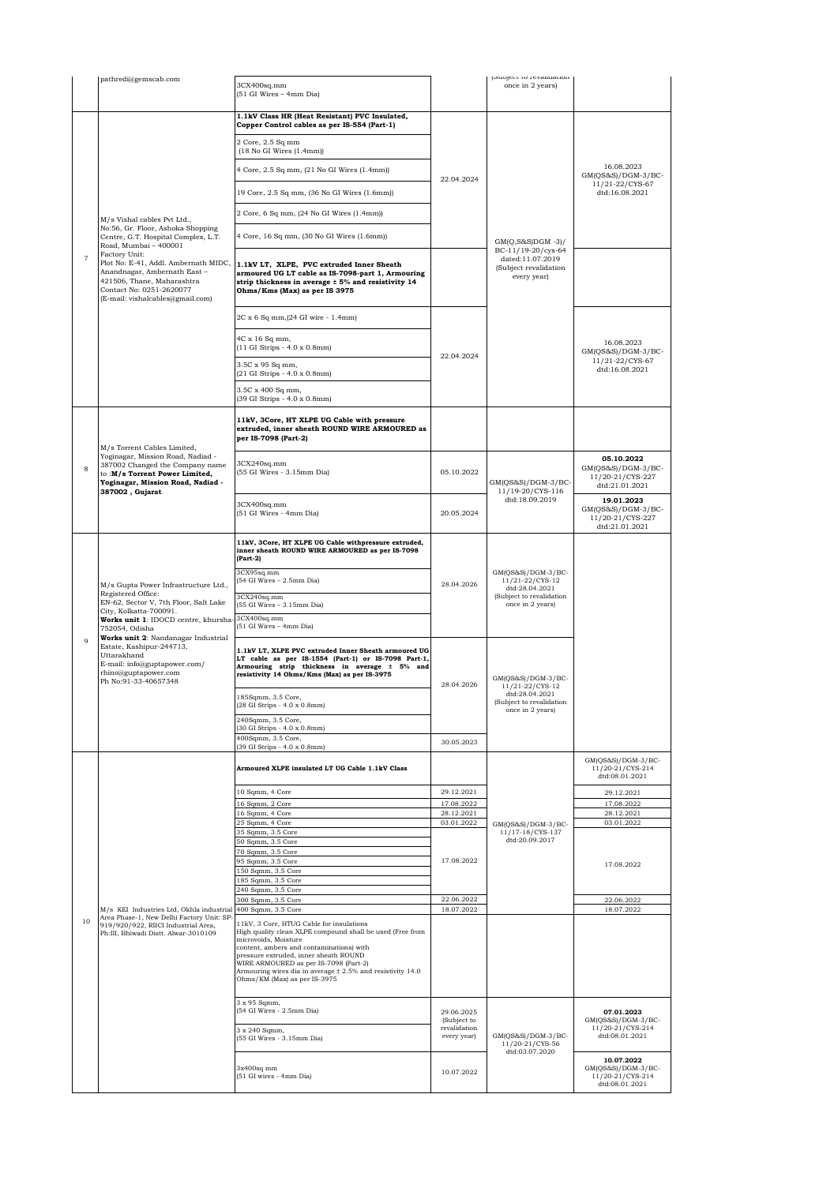|                | pathredi@gemscab.com                                                                                                                                                                                                                                                                                                                                     | 3CX400sq.mm<br>(51 GI Wires - 4mm Dia)                                                                                                                                                                                                                                                                                                                    |                                                                                                                       | (Subject to revaluation<br>once in 2 years)                                                             |                                                                          |
|----------------|----------------------------------------------------------------------------------------------------------------------------------------------------------------------------------------------------------------------------------------------------------------------------------------------------------------------------------------------------------|-----------------------------------------------------------------------------------------------------------------------------------------------------------------------------------------------------------------------------------------------------------------------------------------------------------------------------------------------------------|-----------------------------------------------------------------------------------------------------------------------|---------------------------------------------------------------------------------------------------------|--------------------------------------------------------------------------|
|                |                                                                                                                                                                                                                                                                                                                                                          | 1.1kV Class HR (Heat Resistant) PVC Insulated,<br>Copper Control cables as per IS-554 (Part-1)                                                                                                                                                                                                                                                            |                                                                                                                       |                                                                                                         |                                                                          |
|                |                                                                                                                                                                                                                                                                                                                                                          | 2 Core, 2.5 Sq mm<br>$(18$ No GI Wires $(1.4mm)$                                                                                                                                                                                                                                                                                                          |                                                                                                                       |                                                                                                         |                                                                          |
|                |                                                                                                                                                                                                                                                                                                                                                          | 4 Core, 2.5 Sq mm, (21 No GI Wires (1.4mm))                                                                                                                                                                                                                                                                                                               |                                                                                                                       |                                                                                                         | 16.08.2023<br>GM(QS&S)/DGM-3/BC-                                         |
|                |                                                                                                                                                                                                                                                                                                                                                          | 19 Core, 2.5 Sq mm, (36 No GI Wires (1.6mm))                                                                                                                                                                                                                                                                                                              | 22.04.2024                                                                                                            |                                                                                                         | 11/21-22/CYS-67<br>dtd:16.08.2021                                        |
|                |                                                                                                                                                                                                                                                                                                                                                          | 2 Core, 6 Sq mm, (24 No GI Wires (1.4mm))                                                                                                                                                                                                                                                                                                                 |                                                                                                                       |                                                                                                         |                                                                          |
|                | M/s Vishal cables Pvt Ltd.,<br>No:56, Gr. Floor, Ashoka Shopping<br>Centre, G.T. Hospital Complex, L.T.<br>Road, Mumbai - 400001<br>Factory Unit:<br>Plot No: E-41, Addl. Ambernath MIDC,<br>Anandnagar, Ambernath East-<br>421506, Thane, Maharashtra<br>Contact No: 0251-2620077<br>(E-mail: vishalcables@gmail.com)                                   | 4 Core, 16 Sq mm, (30 No GI Wires (1.6mm))                                                                                                                                                                                                                                                                                                                |                                                                                                                       | $GM(Q, S&S)DGM -3)/$<br>BC-11/19-20/cys-64<br>dated:11.07.2019<br>(Subject revalidation<br>every year)  |                                                                          |
| $\overline{7}$ |                                                                                                                                                                                                                                                                                                                                                          | 1.1kV LT, XLPE, PVC extruded Inner Sheath<br>armoured UG LT cable as IS-7098-part 1, Armouring<br>strip thickness in average ± 5% and resistivity 14<br>Ohms/Kms (Max) as per IS 3975                                                                                                                                                                     |                                                                                                                       |                                                                                                         |                                                                          |
|                |                                                                                                                                                                                                                                                                                                                                                          | 2C x 6 Sq mm, (24 GI wire - 1.4mm)                                                                                                                                                                                                                                                                                                                        |                                                                                                                       |                                                                                                         |                                                                          |
|                |                                                                                                                                                                                                                                                                                                                                                          | 4C x 16 Sq mm,<br>(11 GI Strips - 4.0 x 0.8mm)                                                                                                                                                                                                                                                                                                            | 22.04.2024                                                                                                            |                                                                                                         | 16.08.2023<br>$GM(QS&S)/DGM-3/BC-$                                       |
|                |                                                                                                                                                                                                                                                                                                                                                          | 3.5C x 95 Sq mm,<br>(21 GI Strips - 4.0 x 0.8mm)                                                                                                                                                                                                                                                                                                          |                                                                                                                       |                                                                                                         | 11/21-22/CYS-67<br>dtd:16.08.2021                                        |
|                |                                                                                                                                                                                                                                                                                                                                                          | 3.5C x 400 Sq mm,<br>(39 GI Strips - 4.0 x 0.8mm)                                                                                                                                                                                                                                                                                                         |                                                                                                                       |                                                                                                         |                                                                          |
|                | M/s Torrent Cables Limited,                                                                                                                                                                                                                                                                                                                              | 11kV, 3Core, HT XLPE UG Cable with pressure<br>extruded, inner sheath ROUND WIRE ARMOURED as<br>per IS-7098 (Part-2)                                                                                                                                                                                                                                      |                                                                                                                       |                                                                                                         |                                                                          |
| 8              | Yoginagar, Mission Road, Nadiad -<br>387002 Changed the Company name<br>to :M/s Torrent Power Limited,<br>Yoginagar, Mission Road, Nadiad -<br>387002, Gujarat                                                                                                                                                                                           | 3CX240sq.mm<br>(55 GI Wires - 3.15mm Dia)                                                                                                                                                                                                                                                                                                                 | 05.10.2022                                                                                                            | GM(QS&S)/DGM-3/BC-<br>11/19-20/CYS-116<br>dtd:18.09.2019                                                | 05.10.2022<br>$GM(QS&S)/DGM-3/BC-$<br>11/20-21/CYS-227<br>dtd:21.01.2021 |
|                |                                                                                                                                                                                                                                                                                                                                                          | 3CX400sq.mm<br>(51 GI Wires - 4mm Dia)                                                                                                                                                                                                                                                                                                                    | 20.05.2024                                                                                                            |                                                                                                         | 19.01.2023<br>$GM(QS&S)/DGM-3/BC-$<br>11/20-21/CYS-227<br>dtd:21.01.2021 |
|                | M/s Gupta Power Infrastructure Ltd.,<br>Registered Office:<br>EN-62, Sector V, 7th Floor, Salt Lake<br>City, Kolkatta-700091.<br>Works unit 1: IDOCD centre, khursha<br>752054, Odisha<br>Works unit 2: Nandanagar Industrial<br>Estate, Kashipur-244713,<br>Uttarakhand<br>E-mail: info@guptapower.com/<br>rhino@guptapower.com<br>Ph No:91-33-40657348 | 11kV, 3Core, HT XLPE UG Cable withpressure extruded,<br>inner sheath ROUND WIRE ARMOURED as per IS-7098<br>(Part-2)                                                                                                                                                                                                                                       |                                                                                                                       |                                                                                                         |                                                                          |
|                |                                                                                                                                                                                                                                                                                                                                                          | 3CX95sq.mm<br>(54 GI Wires - 2.5mm Dia)                                                                                                                                                                                                                                                                                                                   | 28.04.2026                                                                                                            | GM(QS&S)/DGM-3/BC-<br>11/21-22/CYS-12<br>dtd:28.04.2021<br>(Subject to revalidation<br>once in 2 years) |                                                                          |
|                |                                                                                                                                                                                                                                                                                                                                                          | 3CX240sq.mm<br>(55 GI Wires - 3.15mm Dia)                                                                                                                                                                                                                                                                                                                 |                                                                                                                       |                                                                                                         |                                                                          |
|                |                                                                                                                                                                                                                                                                                                                                                          | 3CX400sq.mm<br>(51 GI Wires - 4mm Dia)                                                                                                                                                                                                                                                                                                                    |                                                                                                                       |                                                                                                         |                                                                          |
| 9              |                                                                                                                                                                                                                                                                                                                                                          | 1.1kV LT, XLPE PVC extruded Inner Sheath armoured UG<br>LT cable as per IS-1554 (Part-1) or IS-7098 Part-1,<br>Armouring strip thickness in average ± 5% and<br>resistivity 14 Ohms/Kms (Max) as per IS-3975                                                                                                                                              | GM(QS&S)/DGM-3/BC-<br>28.04.2026<br>11/21-22/CYS-12<br>dtd:28.04.2021<br>(Subject to revalidation<br>once in 2 years) |                                                                                                         |                                                                          |
|                |                                                                                                                                                                                                                                                                                                                                                          | 185Sqmm, 3.5 Core,<br>(28 GI Strips - 4.0 x 0.8mm)                                                                                                                                                                                                                                                                                                        |                                                                                                                       |                                                                                                         |                                                                          |
|                |                                                                                                                                                                                                                                                                                                                                                          | 240Sqmm, 3.5 Core,<br>(30 GI Strips - 4.0 x 0.8mm)                                                                                                                                                                                                                                                                                                        |                                                                                                                       |                                                                                                         |                                                                          |
|                |                                                                                                                                                                                                                                                                                                                                                          | 400Sqmm, 3.5 Core,<br>(39 GI Strips - 4.0 x 0.8mm)                                                                                                                                                                                                                                                                                                        | 30.05.2023                                                                                                            |                                                                                                         |                                                                          |
|                |                                                                                                                                                                                                                                                                                                                                                          | Armoured XLPE insulated LT UG Cable 1.1kV Class                                                                                                                                                                                                                                                                                                           |                                                                                                                       |                                                                                                         | GM(QS&S)/DGM-3/BC-<br>11/20-21/CYS-214<br>dtd:08.01.2021                 |
|                |                                                                                                                                                                                                                                                                                                                                                          | 10 Sqmm, 4 Core                                                                                                                                                                                                                                                                                                                                           | 29.12.2021                                                                                                            |                                                                                                         | 29.12.2021                                                               |
|                |                                                                                                                                                                                                                                                                                                                                                          | 16 Sqmm, 2 Core<br>16 Sqmm, 4 Core                                                                                                                                                                                                                                                                                                                        | 17.08.2022<br>28.12.2021                                                                                              |                                                                                                         | 17.08.2022<br>28.12.2021                                                 |
|                |                                                                                                                                                                                                                                                                                                                                                          | 25 Sqmm, 4 Core<br>35 Sqmm, 3.5 Core                                                                                                                                                                                                                                                                                                                      | 03.01.2022                                                                                                            | GM(QS&S)/DGM-3/BC-<br>11/17-18/CYS-137                                                                  | 03.01.2022                                                               |
|                |                                                                                                                                                                                                                                                                                                                                                          | 50 Sqmm, 3.5 Core                                                                                                                                                                                                                                                                                                                                         |                                                                                                                       | dtd:20.09.2017                                                                                          |                                                                          |
|                |                                                                                                                                                                                                                                                                                                                                                          | 70 Sqmm, 3.5 Core<br>95 Sqmm, 3.5 Core                                                                                                                                                                                                                                                                                                                    | 17.08.2022                                                                                                            |                                                                                                         |                                                                          |
|                |                                                                                                                                                                                                                                                                                                                                                          | 150 Sqmm, 3.5 Core                                                                                                                                                                                                                                                                                                                                        |                                                                                                                       |                                                                                                         | 17.08.2022                                                               |
|                |                                                                                                                                                                                                                                                                                                                                                          | 185 Sqmm, 3.5 Core<br>240 Sqmm, 3.5 Core                                                                                                                                                                                                                                                                                                                  |                                                                                                                       |                                                                                                         |                                                                          |
| 10             | M/s KEI Industries Ltd, Okhla industrial<br>Area Phase-1, New Delhi Factory Unit: SP-<br>919/920/922, RIICI Industrial Area,<br>Ph:III, Bhiwadi Distt. Alwar-3010109                                                                                                                                                                                     | 300 Sqmm, 3.5 Core                                                                                                                                                                                                                                                                                                                                        | 22.06.2022                                                                                                            |                                                                                                         | 22.06.2022                                                               |
|                |                                                                                                                                                                                                                                                                                                                                                          | 400 Sqmm, 3.5 Core                                                                                                                                                                                                                                                                                                                                        | 18.07.2022                                                                                                            |                                                                                                         | 18.07.2022                                                               |
|                |                                                                                                                                                                                                                                                                                                                                                          | 11kV, 3 Core, HTUG Cable for insulations<br>High quality clean XLPE compound shall be used (Free from<br>microvoids, Moisture<br>content, ambers and contaminations) with<br>pressure extruded, inner sheath ROUND<br>WIRE ARMOURED as per IS-7098 (Part-2)<br>Armouring wires dia in average ± 2.5% and resistivity 14.0<br>Ohms/KM (Max) as per IS-3975 |                                                                                                                       |                                                                                                         |                                                                          |
|                |                                                                                                                                                                                                                                                                                                                                                          | 3 x 95 Sqmm,<br>(54 GI Wires - 2.5mm Dia)                                                                                                                                                                                                                                                                                                                 | 29.06.2025<br>(Subject to                                                                                             |                                                                                                         | 07.01.2023<br>GM(QS&S)/DGM-3/BC-                                         |
|                |                                                                                                                                                                                                                                                                                                                                                          | 3 x 240 Sqmm,<br>(55 GI Wires - 3.15mm Dia)                                                                                                                                                                                                                                                                                                               | revalidation<br>every year)                                                                                           | GM(QS&S)/DGM-3/BC-<br>11/20-21/CYS-56                                                                   | 11/20-21/CYS-214<br>dtd:08.01.2021                                       |
|                |                                                                                                                                                                                                                                                                                                                                                          | $3x400sq$ mm<br>(51 GI wires - 4mm Dia)                                                                                                                                                                                                                                                                                                                   | 10.07.2022                                                                                                            | dtd:03.07.2020                                                                                          | 10.07.2022<br>GM(QS&S)/DGM-3/BC-<br>11/20-21/CYS-214<br>dtd:08.01.2021   |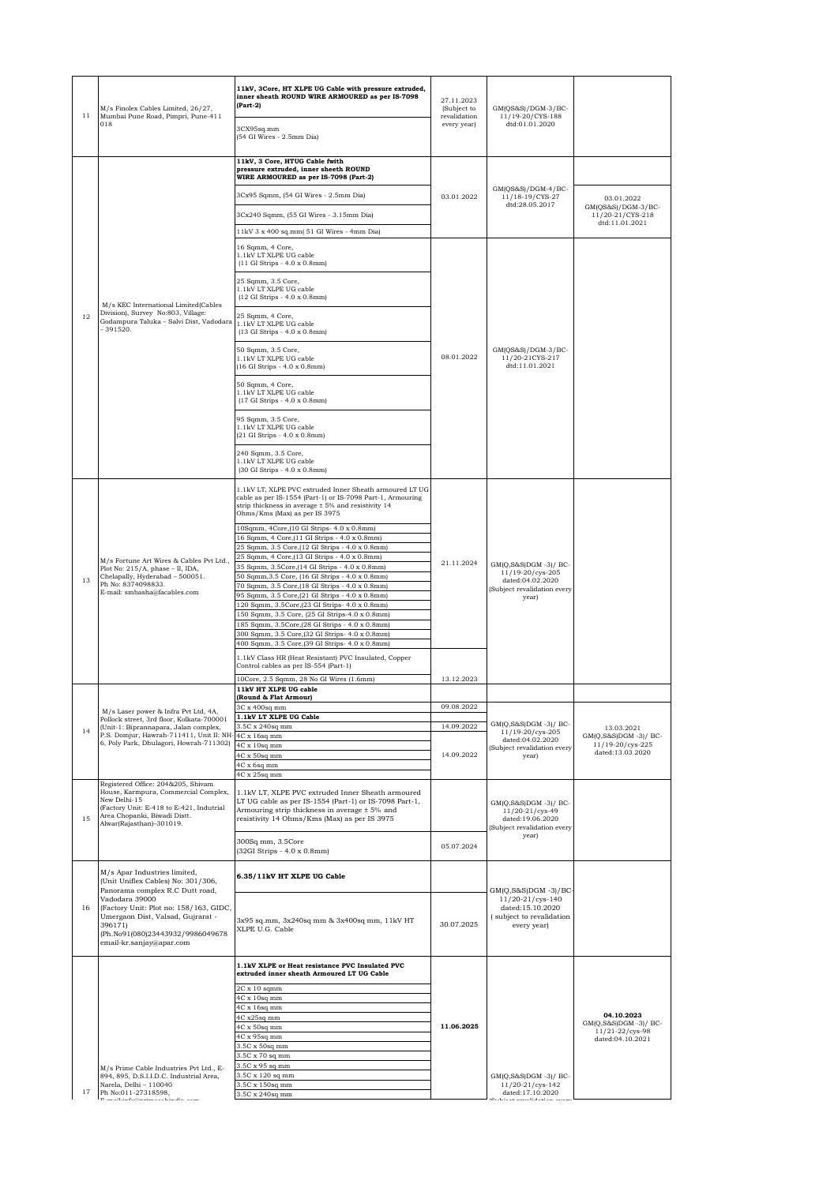| 11 | M/s Finolex Cables Limited, 26/27,<br>Mumbai Pune Road, Pimpri, Pune-411<br>018                                                                                          | 11kV, 3Core, HT XLPE UG Cable with pressure extruded,<br>inner sheath ROUND WIRE ARMOURED as per IS-7098<br>$(Part-2)$<br>3CX95sq.mm                                                                             | 27.11.2023<br>(Subject to<br>revalidation<br>every year) | GM(QS&S)/DGM-3/BC-<br>11/19-20/CYS-188<br>dtd:01.01.2020                                                            |                                                               |
|----|--------------------------------------------------------------------------------------------------------------------------------------------------------------------------|------------------------------------------------------------------------------------------------------------------------------------------------------------------------------------------------------------------|----------------------------------------------------------|---------------------------------------------------------------------------------------------------------------------|---------------------------------------------------------------|
|    |                                                                                                                                                                          | (54 GI Wires - 2.5mm Dia)                                                                                                                                                                                        |                                                          |                                                                                                                     |                                                               |
|    |                                                                                                                                                                          | 11kV, 3 Core, HTUG Cable fwith<br>pressure extruded, inner sheeth ROUND<br>WIRE ARMOURED as per IS-7098 (Part-2)                                                                                                 |                                                          |                                                                                                                     |                                                               |
|    |                                                                                                                                                                          | 3Cx95 Sqmm, (54 GI Wires - 2.5mm Dia)                                                                                                                                                                            | 03.01.2022                                               | GM(QS&S)/DGM-4/BC-<br>11/18-19/CYS-27                                                                               | 03.01.2022                                                    |
|    |                                                                                                                                                                          | 3Cx240 Sqmm, (55 GI Wires - 3.15mm Dia)                                                                                                                                                                          |                                                          | dtd:28.05.2017                                                                                                      | GM(QS&S)/DGM-3/BC-<br>11/20-21/CYS-218                        |
|    |                                                                                                                                                                          | 11kV 3 x 400 sq.mm(51 GI Wires - 4mm Dia)                                                                                                                                                                        |                                                          |                                                                                                                     | dtd:11.01.2021                                                |
|    |                                                                                                                                                                          | 16 Sqmm, 4 Core,<br>1.1kV LT XLPE UG cable<br>(11 GI Strips - 4.0 x 0.8mm)                                                                                                                                       |                                                          |                                                                                                                     |                                                               |
|    |                                                                                                                                                                          | 25 Sqmm, 3.5 Core,<br>1.1kV LT XLPE UG cable<br>(12 GI Strips - 4.0 x 0.8mm)                                                                                                                                     |                                                          |                                                                                                                     |                                                               |
| 12 | M/s KEC International Limited(Cables<br>Division), Survey No:803, Village:<br>Godampura Taluka - Salvi Dist, Vadodara<br>$-391520.$                                      | 25 Sqmm, 4 Core,<br>1.1kV LT XLPE UG cable<br>(13 GI Strips - 4.0 x 0.8mm)                                                                                                                                       |                                                          |                                                                                                                     |                                                               |
|    |                                                                                                                                                                          | 50 Sqmm, 3.5 Core,<br>1.1kV LT XLPE UG cable<br>(16 GI Strips - 4.0 x 0.8mm)                                                                                                                                     | 08.01.2022                                               | $GM(QS&S)/DGM-3/BC-$<br>11/20-21CYS-217<br>dtd:11.01.2021                                                           |                                                               |
|    |                                                                                                                                                                          | 50 Sqmm, 4 Core,<br>1.1kV LT XLPE UG cable<br>(17 GI Strips - 4.0 x 0.8mm)                                                                                                                                       |                                                          |                                                                                                                     |                                                               |
|    |                                                                                                                                                                          | 95 Sqmm, 3.5 Core,<br>1.1kV LT XLPE UG cable<br>(21 GI Strips - 4.0 x 0.8mm)                                                                                                                                     |                                                          |                                                                                                                     |                                                               |
|    |                                                                                                                                                                          | 240 Sqmm, 3.5 Core,<br>1.1kV LT XLPE UG cable<br>(30 GI Strips - 4.0 x 0.8mm)                                                                                                                                    |                                                          |                                                                                                                     |                                                               |
|    |                                                                                                                                                                          | 1.1kV LT, XLPE PVC extruded Inner Sheath armoured LT UG<br>cable as per IS-1554 (Part-1) or IS-7098 Part-1, Armouring<br>strip thickness in average $\pm$ 5% and resistivity 14<br>Ohms/Kms (Max) as per IS 3975 |                                                          | 21.11.2024<br>GM(Q,S&S)DGM -3)/ BC-<br>11/19-20/cys-205<br>dated:04.02.2020<br>(Subject revalidation every<br>year) |                                                               |
| 13 | M/s Fortune Art Wires & Cables Pvt Ltd.,<br>Plot No: 215/A, phase - II, IDA,<br>Chelapally, Hyderabad - 500051.<br>Ph No: 8374098833.<br>E-mail: smbasha@facables.com    | 10Sqmm, 4Core, (10 GI Strips- 4.0 x 0.8mm)<br>16 Sqmm, 4 Core, (11 GI Strips - 4.0 x 0.8mm)<br>25 Sqmm, 3.5 Core, (12 GI Strips - 4.0 x 0.8mm)                                                                   |                                                          |                                                                                                                     |                                                               |
|    |                                                                                                                                                                          | 25 Sqmm, 4 Core, (13 GI Strips - 4.0 x 0.8mm)<br>35 Sqmm, 3.5Core, [14 GI Strips - 4.0 x 0.8mm]<br>50 Sqmm, 3.5 Core, (16 GI Strips - 4.0 x 0.8mm)<br>70 Sqmm, 3.5 Core, (18 GI Strips - 4.0 x 0.8mm)            |                                                          |                                                                                                                     |                                                               |
|    |                                                                                                                                                                          | 95 Sqmm, 3.5 Core, (21 GI Strips - 4.0 x 0.8mm)<br>120 Sqmm, 3.5Core, (23 GI Strips- 4.0 x 0.8mm)<br>150 Sqmm, 3.5 Core, (25 GI Strips-4.0 x 0.8mm)                                                              |                                                          |                                                                                                                     |                                                               |
|    |                                                                                                                                                                          | 185 Sqmm, 3.5Core, (28 GI Strips - 4.0 x 0.8mm)<br>300 Sqmm, 3.5 Core, (32 GI Strips- 4.0 x 0.8mm)                                                                                                               |                                                          |                                                                                                                     |                                                               |
|    |                                                                                                                                                                          | 400 Sqmm, 3.5 Core, (39 GI Strips- 4.0 x 0.8mm)<br>1.1kV Class HR (Heat Resistant) PVC Insulated, Copper                                                                                                         |                                                          |                                                                                                                     |                                                               |
|    |                                                                                                                                                                          | Control cables as per IS-554 (Part-1)                                                                                                                                                                            |                                                          |                                                                                                                     |                                                               |
|    |                                                                                                                                                                          | 10Core, 2.5 Sqmm, 28 No GI Wires (1.6mm)<br>11kV HT XLPE UG cable                                                                                                                                                | 13.12.2023                                               |                                                                                                                     |                                                               |
|    |                                                                                                                                                                          | (Round & Flat Armour)<br>3C x 400sq mm                                                                                                                                                                           | 09.08.2022                                               |                                                                                                                     |                                                               |
|    | M/s Laser power & Infra Pvt Ltd, 4A,<br>Pollock street, 3rd floor, Kolkata-700001<br>(Unit-1: Biprannapara, Jalan complex,<br>P.S. Domjur, Hawrah-711411, Unit II: NH-   | 1.1kV LT XLPE UG Cable                                                                                                                                                                                           |                                                          | GM(Q,S&S)DGM -3)/ BC-<br>11/19-20/cys-205<br>dated:04.02.2020                                                       |                                                               |
| 14 |                                                                                                                                                                          | 3.5C x 240sq mm<br>4C x 16sq mm                                                                                                                                                                                  | 14.09.2022                                               |                                                                                                                     | 13.03.2021<br>GM(Q,S&S)DGM -3)/ BC-                           |
|    | 6, Poly Park, Dhulagori, Howrah-711302)                                                                                                                                  | $4C \times 10$ sq mm<br>4C x 50sq mm                                                                                                                                                                             | 14.09.2022                                               | (Subject revalidation every                                                                                         | 11/19-20/cys-225<br>dated:13.03.2020                          |
|    |                                                                                                                                                                          | 4C x 6sq mm                                                                                                                                                                                                      |                                                          | year)                                                                                                               |                                                               |
|    | Registered Office: 204&205, Shivam                                                                                                                                       | 4C x 25sq mm                                                                                                                                                                                                     |                                                          |                                                                                                                     |                                                               |
| 15 | House, Karmpura, Commercial Complex,<br>New Delhi-15<br>(Factory Unit: E-418 to E-421, Indutrial<br>Area Chopanki, Biwadi Distt.<br>Alwar(Rajasthan)-301019.             | 1.1kV LT, XLPE PVC extruded Inner Sheath armoured<br>LT UG cable as per IS-1554 (Part-1) or IS-7098 Part-1,<br>Armouring strip thickness in average ± 5% and<br>resistivity 14 Ohms/Kms (Max) as per IS 3975     |                                                          | GM(Q,S&S)DGM -3)/ BC-<br>11/20-21/cys-49<br>dated:19.06.2020<br>(Subject revalidation every                         |                                                               |
|    |                                                                                                                                                                          | 300Sq mm, 3.5Core<br>(32GI Strips - 4.0 x 0.8mm)                                                                                                                                                                 | 05.07.2024                                               | year)                                                                                                               |                                                               |
|    | M/s Apar Industries limited,<br>(Unit Uniflex Cables) No: 301/306,<br>Panorama complex R.C Dutt road,                                                                    | 6.35/11kV HT XLPE UG Cable                                                                                                                                                                                       |                                                          | GM(Q,S&S)DGM -3)/BC-                                                                                                |                                                               |
| 16 | Vadodara 39000<br>(Factory Unit: Plot no: 158/163, GIDC,<br>Umergaon Dist, Valsad, Gujrarat -<br>396171)<br>(Ph.No91(080)23443932/9986049678<br>email-kr.sanjay@apar.com | 3x95 sq.mm, 3x240sq mm & 3x400sq mm, 11kV HT<br>XLPE U.G. Cable                                                                                                                                                  | 30.07.2025                                               | 11/20-21/cys-140<br>dated:15.10.2020<br>(subject to revalidation<br>every year)                                     |                                                               |
|    |                                                                                                                                                                          | 1.1kV XLPE or Heat resistance PVC Insulated PVC<br>extruded inner sheath Armoured LT UG Cable<br>$2C \times 10$ sqmm                                                                                             |                                                          |                                                                                                                     |                                                               |
|    |                                                                                                                                                                          | 4C x 10sq mm                                                                                                                                                                                                     |                                                          |                                                                                                                     |                                                               |
|    |                                                                                                                                                                          | 4C x 16sq mm<br>4C x25sq mm                                                                                                                                                                                      |                                                          |                                                                                                                     | 04.10.2023                                                    |
|    |                                                                                                                                                                          | 4C x 50sq mm                                                                                                                                                                                                     | 11.06.2025                                               |                                                                                                                     | $GM(Q,S&S)DGM -3)/BC-$<br>11/21-22/cys-98<br>dated:04.10.2021 |
|    |                                                                                                                                                                          | 4C x 95sq mm<br>3.5C x 50sq mm                                                                                                                                                                                   |                                                          |                                                                                                                     |                                                               |
|    |                                                                                                                                                                          | 3.5C x 70 sq mm                                                                                                                                                                                                  |                                                          |                                                                                                                     |                                                               |
|    | M/s Prime Cable Industries Pvt Ltd., E-<br>894, 895, D.S.I.I.D.C. Industrial Area,                                                                                       | 3.5C x 95 sq mm<br>3.5C x 120 sq mm                                                                                                                                                                              |                                                          | GM(Q,S&S)DGM -3)/ BC-                                                                                               |                                                               |
| 17 | Narela, Delhi - 110040<br>Ph No:011-27318598,                                                                                                                            | 3.5C x 150sq mm                                                                                                                                                                                                  |                                                          | 11/20-21/cys-142<br>dated:17.10.2020                                                                                |                                                               |
|    | ووددت والمتابعة والمتحدد ومستقدمات والمستراة والمناو                                                                                                                     | 3.5C x 240sq mm                                                                                                                                                                                                  |                                                          | (0, 1)                                                                                                              |                                                               |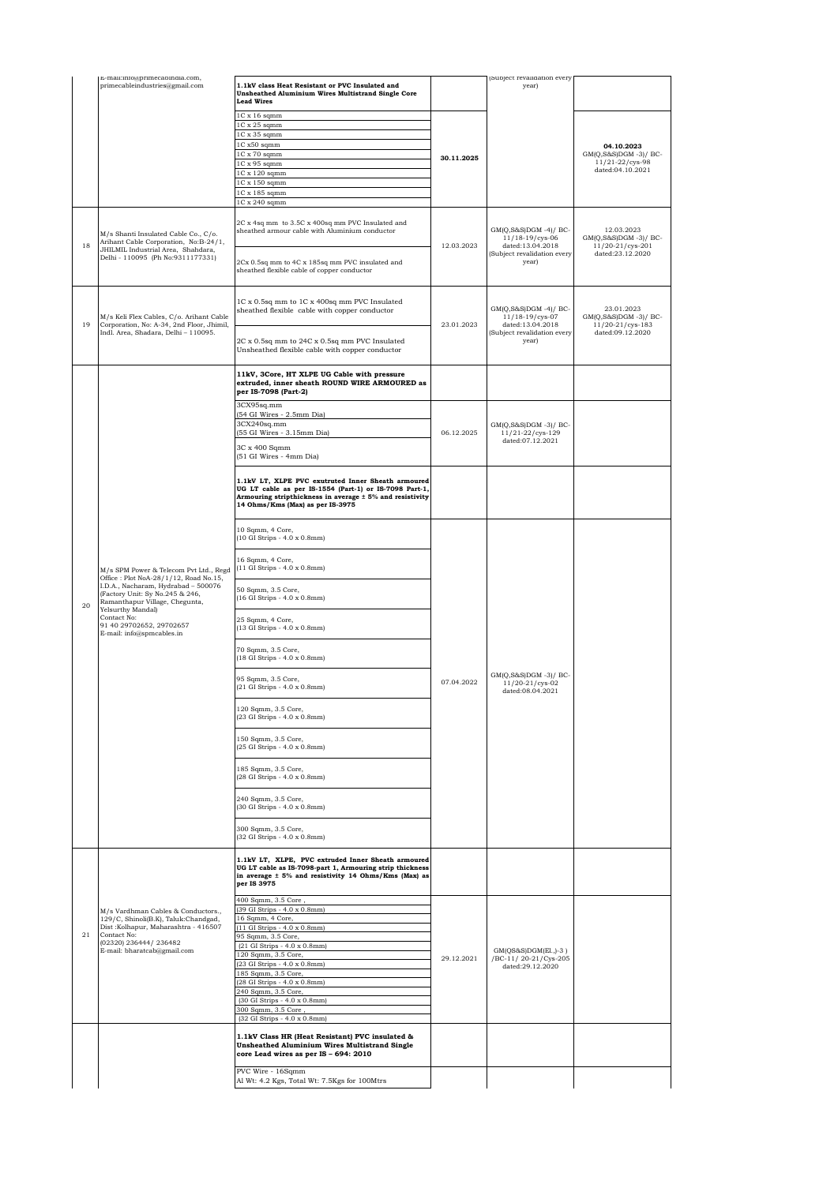|    | E-mail:info@primecabindia.com,                                                                                                                                                                                                                                                           |                                                                                                                                                                                                              |            | Subject revalidation every                                                                                 |                                                         |
|----|------------------------------------------------------------------------------------------------------------------------------------------------------------------------------------------------------------------------------------------------------------------------------------------|--------------------------------------------------------------------------------------------------------------------------------------------------------------------------------------------------------------|------------|------------------------------------------------------------------------------------------------------------|---------------------------------------------------------|
|    | primecableindustries@gmail.com                                                                                                                                                                                                                                                           | 1.1kV class Heat Resistant or PVC Insulated and<br><b>Unsheathed Aluminium Wires Multistrand Single Core</b><br><b>Lead Wires</b>                                                                            |            | year)                                                                                                      |                                                         |
|    |                                                                                                                                                                                                                                                                                          | $1C \times 16$ sqmm<br>1C x 25 sqmm                                                                                                                                                                          |            |                                                                                                            |                                                         |
|    |                                                                                                                                                                                                                                                                                          | 1C x 35 sqmm                                                                                                                                                                                                 |            |                                                                                                            |                                                         |
|    |                                                                                                                                                                                                                                                                                          | 1C x50 sqmm                                                                                                                                                                                                  |            |                                                                                                            | 04.10.2023                                              |
|    |                                                                                                                                                                                                                                                                                          | $1C \times 70$ sqmm<br>1C x 95 sqmm                                                                                                                                                                          | 30.11.2025 |                                                                                                            | GM(Q,S&S)DGM -3)/ BC-<br>11/21-22/cys-98                |
|    |                                                                                                                                                                                                                                                                                          | 1C x 120 sqmm                                                                                                                                                                                                |            |                                                                                                            | dated:04.10.2021                                        |
|    |                                                                                                                                                                                                                                                                                          | 1C x 150 sqmm<br>1C x 185 sqmm                                                                                                                                                                               |            |                                                                                                            |                                                         |
|    |                                                                                                                                                                                                                                                                                          | 1C x 240 sqmm                                                                                                                                                                                                |            |                                                                                                            |                                                         |
| 18 | M/s Shanti Insulated Cable Co., C/o.<br>Arihant Cable Corporation, No:B-24/1,<br>JHILMIL Industrial Area, Shahdara,<br>Delhi - 110095 (Ph No:9311177331)                                                                                                                                 | 2C x 4sq mm to 3.5C x 400sq mm PVC Insulated and<br>sheathed armour cable with Aluminium conductor                                                                                                           | 12.03.2023 | GM(Q,S&S)DGM -4)/ BC-<br>$11/18 - 19/cys - 06$<br>dated:13.04.2018<br>(Subject revalidation every<br>year) | 12.03.2023<br>GM(Q,S&S)DGM -3)/ BC-<br>11/20-21/cys-201 |
|    |                                                                                                                                                                                                                                                                                          | 2Cx 0.5sq mm to 4C x 185sq mm PVC insulated and<br>sheathed flexible cable of copper conductor                                                                                                               |            |                                                                                                            | dated:23.12.2020                                        |
| 19 | M/s Keli Flex Cables, C/o. Arihant Cable<br>Corporation, No: A-34, 2nd Floor, Jhimil,                                                                                                                                                                                                    | 1C x 0.5sq mm to 1C x 400sq mm PVC Insulated<br>sheathed flexible cable with copper conductor                                                                                                                | 23.01.2023 | GM(Q,S&S)DGM -4)/ BC-<br>11/18-19/cys-07<br>dated:13.04.2018                                               | 23.01.2023<br>GM(Q,S&S)DGM -3)/ BC-<br>11/20-21/cys-183 |
|    | Indl. Area, Shadara, Delhi - 110095.                                                                                                                                                                                                                                                     | 2C x 0.5sq mm to 24C x 0.5sq mm PVC Insulated<br>Unsheathed flexible cable with copper conductor                                                                                                             |            | (Subject revalidation every<br>year)                                                                       | dated:09.12.2020                                        |
|    |                                                                                                                                                                                                                                                                                          | 11kV, 3Core, HT XLPE UG Cable with pressure<br>extruded, inner sheath ROUND WIRE ARMOURED as<br>per IS-7098 (Part-2)                                                                                         |            |                                                                                                            |                                                         |
|    |                                                                                                                                                                                                                                                                                          | 3CX95sq.mm<br>(54 GI Wires - 2.5mm Dia)                                                                                                                                                                      |            |                                                                                                            |                                                         |
|    |                                                                                                                                                                                                                                                                                          | 3CX240sq.mm                                                                                                                                                                                                  |            | GM(Q,S&S)DGM-3)/ BC-                                                                                       |                                                         |
|    |                                                                                                                                                                                                                                                                                          | (55 GI Wires - 3.15mm Dia)                                                                                                                                                                                   | 06.12.2025 | 11/21-22/cys-129<br>dated:07.12.2021                                                                       |                                                         |
|    |                                                                                                                                                                                                                                                                                          | 3C x 400 Sqmm<br>(51 GI Wires - 4mm Dia)                                                                                                                                                                     |            |                                                                                                            |                                                         |
|    | M/s SPM Power & Telecom Pvt Ltd., Regd<br>Office: Plot NoA-28/1/12, Road No.15,<br>I.D.A., Nacharam, Hydrabad - 500076<br>(Factory Unit: Sy No.245 & 246,<br>Ramanthapur Village, Chegunta,<br>Yelsurthy Mandal)<br>Contact No:<br>91 40 29702652, 29702657<br>E-mail: info@spmcables.in | 1.1kV LT, XLPE PVC exutruted Inner Sheath armoured<br>UG LT cable as per IS-1554 (Part-1) or IS-7098 Part-1,<br>Armouring stripthickness in average ± 5% and resistivity<br>14 Ohms/Kms (Max) as per IS-3975 |            |                                                                                                            |                                                         |
|    |                                                                                                                                                                                                                                                                                          | 10 Sqmm, 4 Core,<br>(10 GI Strips - 4.0 x 0.8mm)                                                                                                                                                             | 07.04.2022 | GM(Q,S&S)DGM -3)/ BC-<br>$11/20 - 21$ /cys-02<br>dated:08.04.2021                                          |                                                         |
|    |                                                                                                                                                                                                                                                                                          | 16 Sqmm, 4 Core,<br>(11 GI Strips - 4.0 x 0.8mm)                                                                                                                                                             |            |                                                                                                            |                                                         |
| 20 |                                                                                                                                                                                                                                                                                          | 50 Sqmm, 3.5 Core,<br>(16 GI Strips - 4.0 x 0.8mm)                                                                                                                                                           |            |                                                                                                            |                                                         |
|    |                                                                                                                                                                                                                                                                                          | 25 Sqmm, 4 Core,<br>(13 GI Strips - 4.0 x 0.8mm)                                                                                                                                                             |            |                                                                                                            |                                                         |
|    |                                                                                                                                                                                                                                                                                          | 70 Sqmm, 3.5 Core,<br>(18 GI Strips - 4.0 x 0.8mm)                                                                                                                                                           |            |                                                                                                            |                                                         |
|    |                                                                                                                                                                                                                                                                                          | 95 Sqmm, 3.5 Core,<br>(21 GI Strips - 4.0 x 0.8mm)                                                                                                                                                           |            |                                                                                                            |                                                         |
|    |                                                                                                                                                                                                                                                                                          | 120 Sqmm, 3.5 Core,<br>(23 GI Strips - 4.0 x 0.8mm)                                                                                                                                                          |            |                                                                                                            |                                                         |
|    |                                                                                                                                                                                                                                                                                          | 150 Sqmm, 3.5 Core,<br>(25 GI Strips - 4.0 x 0.8mm)                                                                                                                                                          |            |                                                                                                            |                                                         |
|    |                                                                                                                                                                                                                                                                                          | 185 Sqmm, 3.5 Core,<br>(28 GI Strips - 4.0 x 0.8mm)                                                                                                                                                          |            |                                                                                                            |                                                         |
|    |                                                                                                                                                                                                                                                                                          | 240 Sqmm, 3.5 Core,<br>(30 GI Strips - 4.0 x 0.8mm)                                                                                                                                                          |            |                                                                                                            |                                                         |
|    |                                                                                                                                                                                                                                                                                          | 300 Sqmm, 3.5 Core,<br>(32 GI Strips - 4.0 x 0.8mm)                                                                                                                                                          |            |                                                                                                            |                                                         |
|    |                                                                                                                                                                                                                                                                                          | 1.1kV LT, XLPE, PVC extruded Inner Sheath armoured<br>UG LT cable as IS-7098-part 1, Armouring strip thickness<br>in average ± 5% and resistivity 14 Ohms/Kms (Max) as<br>per IS 3975                        |            |                                                                                                            |                                                         |
|    |                                                                                                                                                                                                                                                                                          | 400 Sqmm, 3.5 Core,                                                                                                                                                                                          |            |                                                                                                            |                                                         |
|    | M/s Vardhman Cables & Conductors.,<br>129/C, Shinoli(B.K), Taluk:Chandgad,                                                                                                                                                                                                               | (39 GI Strips - 4.0 x 0.8mm)<br>16 Sqmm, 4 Core,                                                                                                                                                             |            |                                                                                                            |                                                         |
| 21 | Dist: Kolhapur, Maharashtra - 416507<br>Contact No:                                                                                                                                                                                                                                      | (11 GI Strips - 4.0 x 0.8mm)                                                                                                                                                                                 |            |                                                                                                            |                                                         |
|    | (02320) 236444/236482                                                                                                                                                                                                                                                                    | 95 Sqmm, 3.5 Core,<br>(21 GI Strips - 4.0 x 0.8mm)                                                                                                                                                           |            |                                                                                                            |                                                         |
|    | E-mail: bharatcab@gmail.com                                                                                                                                                                                                                                                              | 120 Sqmm, 3.5 Core,<br>(23 GI Strips - 4.0 x 0.8mm)                                                                                                                                                          | 29.12.2021 | $GM(QS&S)DGM(EL, -3)$<br>/BC-11/20-21/Cys-205                                                              |                                                         |
|    |                                                                                                                                                                                                                                                                                          | 185 Sqmm, 3.5 Core,                                                                                                                                                                                          |            | dated:29.12.2020                                                                                           |                                                         |
|    |                                                                                                                                                                                                                                                                                          | (28 GI Strips - 4.0 x 0.8mm)<br>240 Sqmm, 3.5 Core,                                                                                                                                                          |            |                                                                                                            |                                                         |
|    |                                                                                                                                                                                                                                                                                          | (30 GI Strips - 4.0 x 0.8mm)                                                                                                                                                                                 |            |                                                                                                            |                                                         |
|    |                                                                                                                                                                                                                                                                                          | 300 Sqmm, 3.5 Core,<br>(32 GI Strips - 4.0 x 0.8mm)                                                                                                                                                          |            |                                                                                                            |                                                         |
|    |                                                                                                                                                                                                                                                                                          | 1.1kV Class HR (Heat Resistant) PVC insulated &                                                                                                                                                              |            |                                                                                                            |                                                         |
|    |                                                                                                                                                                                                                                                                                          | <b>Unsheathed Aluminium Wires Multistrand Single</b><br>core Lead wires as per IS - 694: 2010<br>PVC Wire - 16Sqmm                                                                                           |            |                                                                                                            |                                                         |
|    |                                                                                                                                                                                                                                                                                          | Al Wt: 4.2 Kgs, Total Wt: 7.5Kgs for 100Mtrs                                                                                                                                                                 |            |                                                                                                            |                                                         |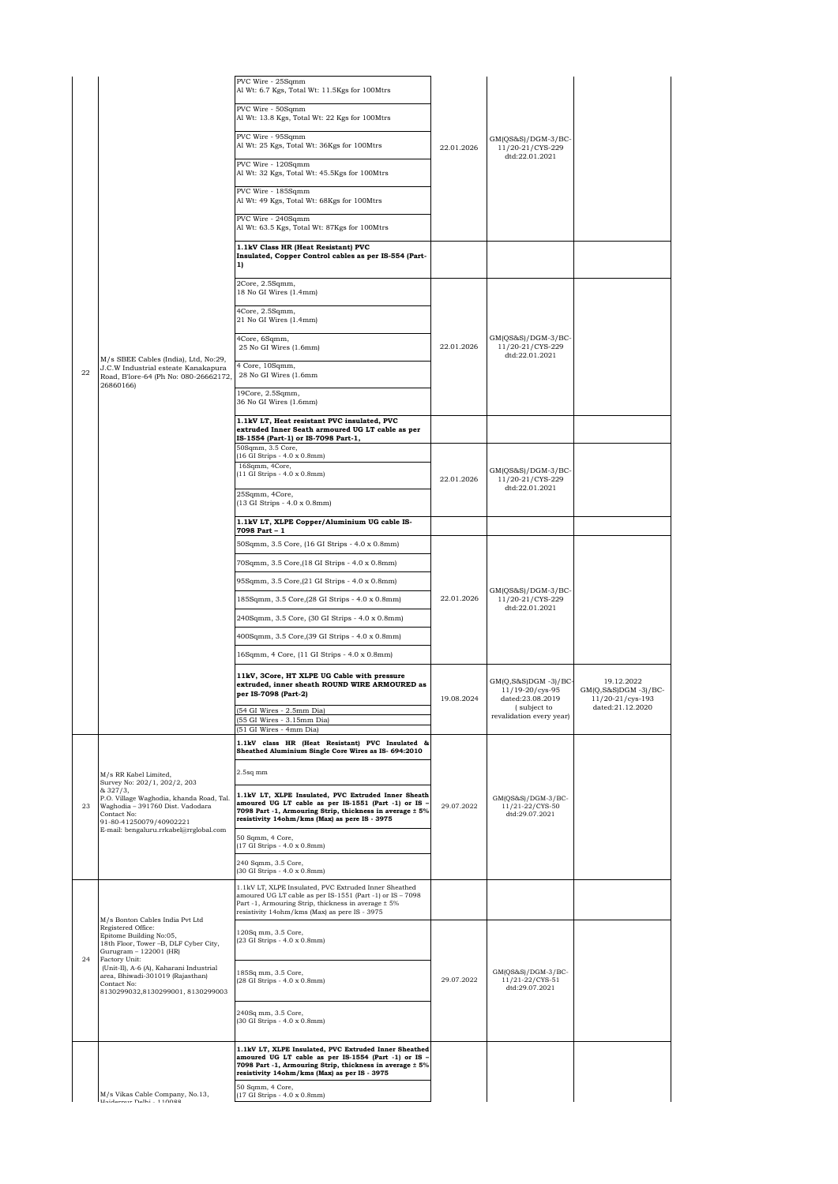|    |                                                                                                                                                                                                                                                                                                        | PVC Wire - 25Sqmm<br>Al Wt: 6.7 Kgs, Total Wt: 11.5Kgs for 100Mtrs                                                                                                                                                         |            |                                                                   |                                                          |
|----|--------------------------------------------------------------------------------------------------------------------------------------------------------------------------------------------------------------------------------------------------------------------------------------------------------|----------------------------------------------------------------------------------------------------------------------------------------------------------------------------------------------------------------------------|------------|-------------------------------------------------------------------|----------------------------------------------------------|
|    |                                                                                                                                                                                                                                                                                                        | PVC Wire - 50Sqmm<br>Al Wt: 13.8 Kgs, Total Wt: 22 Kgs for 100Mtrs                                                                                                                                                         | 22.01.2026 | GM(QS&S)/DGM-3/BC-<br>11/20-21/CYS-229<br>dtd:22.01.2021          |                                                          |
|    |                                                                                                                                                                                                                                                                                                        | PVC Wire - 95Sqmm<br>Al Wt: 25 Kgs, Total Wt: 36Kgs for 100Mtrs                                                                                                                                                            |            |                                                                   |                                                          |
|    |                                                                                                                                                                                                                                                                                                        | PVC Wire - 120Sqmm<br>Al Wt: 32 Kgs, Total Wt: 45.5Kgs for 100Mtrs                                                                                                                                                         |            |                                                                   |                                                          |
|    |                                                                                                                                                                                                                                                                                                        | PVC Wire - 185Sqmm<br>Al Wt: 49 Kgs, Total Wt: 68Kgs for 100Mtrs                                                                                                                                                           |            |                                                                   |                                                          |
|    |                                                                                                                                                                                                                                                                                                        | PVC Wire - 240Sqmm<br>Al Wt: 63.5 Kgs, Total Wt: 87Kgs for 100Mtrs                                                                                                                                                         |            |                                                                   |                                                          |
|    |                                                                                                                                                                                                                                                                                                        | 1.1kV Class HR (Heat Resistant) PVC<br>Insulated, Copper Control cables as per IS-554 (Part-<br>1)                                                                                                                         |            |                                                                   |                                                          |
|    |                                                                                                                                                                                                                                                                                                        | 2Core, 2.5Sqmm,<br>18 No GI Wires (1.4mm)                                                                                                                                                                                  |            |                                                                   |                                                          |
|    |                                                                                                                                                                                                                                                                                                        | 4Core, 2.5Sqmm,<br>21 No GI Wires (1.4mm)                                                                                                                                                                                  |            |                                                                   |                                                          |
|    |                                                                                                                                                                                                                                                                                                        | 4Core, 6Sqmm,<br>25 No GI Wires (1.6mm)                                                                                                                                                                                    | 22.01.2026 | GM(QS&S)/DGM-3/BC-<br>11/20-21/CYS-229<br>dtd:22.01.2021          |                                                          |
| 22 | M/s SBEE Cables (India), Ltd, No:29,<br>J.C.W Industrial esteate Kanakapura<br>Road, B'lore-64 (Ph No: 080-26662172,<br>26860166)                                                                                                                                                                      | 4 Core, 10Sqmm,<br>28 No GI Wires (1.6mm                                                                                                                                                                                   |            |                                                                   |                                                          |
|    |                                                                                                                                                                                                                                                                                                        | 19Core, 2.5Sqmm,<br>36 No GI Wires (1.6mm)                                                                                                                                                                                 |            |                                                                   |                                                          |
|    |                                                                                                                                                                                                                                                                                                        | 1.1kV LT, Heat resistant PVC insulated, PVC<br>extruded Inner Seath armoured UG LT cable as per                                                                                                                            |            |                                                                   |                                                          |
|    |                                                                                                                                                                                                                                                                                                        | IS-1554 (Part-1) or IS-7098 Part-1,<br>50Sqmm, 3.5 Core,<br>(16 GI Strips - 4.0 x 0.8mm)                                                                                                                                   |            |                                                                   |                                                          |
|    |                                                                                                                                                                                                                                                                                                        | 16Sqmm, 4Core,<br>(11 GI Strips - 4.0 x 0.8mm)                                                                                                                                                                             | 22.01.2026 | GM(QS&S)/DGM-3/BC-<br>11/20-21/CYS-229                            |                                                          |
|    |                                                                                                                                                                                                                                                                                                        | 25Sqmm, 4Core,<br>(13 GI Strips - 4.0 x 0.8mm)                                                                                                                                                                             |            | dtd:22.01.2021                                                    |                                                          |
|    |                                                                                                                                                                                                                                                                                                        | 1.1kV LT, XLPE Copper/Aluminium UG cable IS-<br>7098 Part - 1                                                                                                                                                              |            |                                                                   |                                                          |
|    |                                                                                                                                                                                                                                                                                                        | 50Sqmm, 3.5 Core, (16 GI Strips - 4.0 x 0.8mm)                                                                                                                                                                             |            |                                                                   |                                                          |
|    |                                                                                                                                                                                                                                                                                                        | 70Sqmm, 3.5 Core, (18 GI Strips - 4.0 x 0.8mm)                                                                                                                                                                             |            |                                                                   |                                                          |
|    |                                                                                                                                                                                                                                                                                                        | 95Sqmm, 3.5 Core, (21 GI Strips - 4.0 x 0.8mm)                                                                                                                                                                             |            |                                                                   |                                                          |
|    |                                                                                                                                                                                                                                                                                                        | 185Sqmm, 3.5 Core, (28 GI Strips - 4.0 x 0.8mm)                                                                                                                                                                            | 22.01.2026 | GM(QS&S)/DGM-3/BC-<br>11/20-21/CYS-229<br>dtd:22.01.2021          |                                                          |
|    |                                                                                                                                                                                                                                                                                                        | 240Sqmm, 3.5 Core, (30 GI Strips - 4.0 x 0.8mm)                                                                                                                                                                            |            |                                                                   |                                                          |
|    |                                                                                                                                                                                                                                                                                                        | 400Sqmm, 3.5 Core, (39 GI Strips - 4.0 x 0.8mm)                                                                                                                                                                            |            |                                                                   |                                                          |
|    |                                                                                                                                                                                                                                                                                                        | 16Sqmm, 4 Core, (11 GI Strips - 4.0 x 0.8mm)                                                                                                                                                                               |            |                                                                   |                                                          |
|    |                                                                                                                                                                                                                                                                                                        | 11kV, 3Core, HT XLPE UG Cable with pressure<br>extruded, inner sheath ROUND WIRE ARMOURED as<br>per IS-7098 (Part-2)                                                                                                       | 19.08.2024 | GM(Q,S&S)DGM -3)/BC-<br>$11/19 - 20/cys - 95$<br>dated:23.08.2019 | 19.12.2022<br>$GM(Q,S&S)DGM -3)/BC-$<br>11/20-21/cys-193 |
|    |                                                                                                                                                                                                                                                                                                        | (54 GI Wires - 2.5mm Dia)<br>(55 GI Wires - 3.15mm Dia)<br>(51 GI Wires - 4mm Dia)                                                                                                                                         |            | (subject to<br>revalidation every year)                           | dated:21.12.2020                                         |
|    |                                                                                                                                                                                                                                                                                                        | 1.1kV class HR (Heat Resistant) PVC Insulated &<br>Sheathed Aluminium Single Core Wires as IS- 694:2010                                                                                                                    |            |                                                                   |                                                          |
|    | M/s RR Kabel Limited,<br>Survey No: 202/1, 202/2, 203                                                                                                                                                                                                                                                  | $2.5$ sq mm                                                                                                                                                                                                                |            |                                                                   |                                                          |
| 23 | & 327/3,<br>P.O. Village Waghodia, khanda Road, Tal.<br>Waghodia - 391760 Dist. Vadodara<br>Contact No:<br>91-80-41250079/40902221                                                                                                                                                                     | 1.1kV LT, XLPE Insulated, PVC Extruded Inner Sheath<br>amoured UG LT cable as per IS-1551 (Part -1) or IS -<br>7098 Part -1, Armouring Strip, thickness in average ± 5%<br>resistivity 14ohm/kms (Max) as pere IS - 3975   | 29.07.2022 | $GM(QS&S)/DGM-3/BC-$<br>11/21-22/CYS-50<br>dtd:29.07.2021         |                                                          |
|    | E-mail: bengaluru.rrkabel@rrglobal.com                                                                                                                                                                                                                                                                 | 50 Sqmm, 4 Core,<br>(17 GI Strips - 4.0 x 0.8mm)                                                                                                                                                                           |            |                                                                   |                                                          |
|    |                                                                                                                                                                                                                                                                                                        | 240 Sqmm, 3.5 Core,<br>(30 GI Strips - 4.0 x 0.8mm)                                                                                                                                                                        |            |                                                                   |                                                          |
|    |                                                                                                                                                                                                                                                                                                        | 1.1kV LT, XLPE Insulated, PVC Extruded Inner Sheathed<br>amoured UG LT cable as per IS-1551 (Part -1) or IS - 7098<br>Part -1, Armouring Strip, thickness in average ± 5%<br>resistivity 14ohm/kms (Max) as pere IS - 3975 |            |                                                                   |                                                          |
| 24 | M/s Bonton Cables India Pvt Ltd<br>Registered Office:<br>Epitome Building No:05,<br>18th Floor, Tower -B, DLF Cyber City,<br>Gurugram - 122001 (HR)<br>Factory Unit:<br>(Unit-II), A-6 (A), Kaharani Industrial<br>area, Bhiwadi-301019 (Rajasthan)<br>Contact No:<br>8130299032,8130299001,8130299003 | 120Sq mm, 3.5 Core,<br>(23 GI Strips - 4.0 x 0.8mm)                                                                                                                                                                        |            |                                                                   |                                                          |
|    |                                                                                                                                                                                                                                                                                                        | 185Sq mm, 3.5 Core,<br>(28 GI Strips - 4.0 x 0.8mm)                                                                                                                                                                        | 29.07.2022 | GM(QS&S)/DGM-3/BC-<br>11/21-22/CYS-51<br>dtd:29.07.2021           |                                                          |
|    |                                                                                                                                                                                                                                                                                                        | 240Sq mm, 3.5 Core,<br>(30 GI Strips - 4.0 x 0.8mm)                                                                                                                                                                        |            |                                                                   |                                                          |
|    |                                                                                                                                                                                                                                                                                                        | 1.1kV LT, XLPE Insulated, PVC Extruded Inner Sheathed<br>amoured UG LT cable as per IS-1554 (Part -1) or IS -<br>7098 Part -1, Armouring Strip, thickness in average ± 5%<br>resistivity 14ohm/kms (Max) as per IS - 3975  |            |                                                                   |                                                          |
|    | M/s Vikas Cable Company, No.13,<br>Holdernur Delhi - 110088                                                                                                                                                                                                                                            | 50 Sqmm, 4 Core,<br>(17 GI Strips - 4.0 x 0.8mm)                                                                                                                                                                           |            |                                                                   |                                                          |
|    |                                                                                                                                                                                                                                                                                                        |                                                                                                                                                                                                                            |            |                                                                   |                                                          |